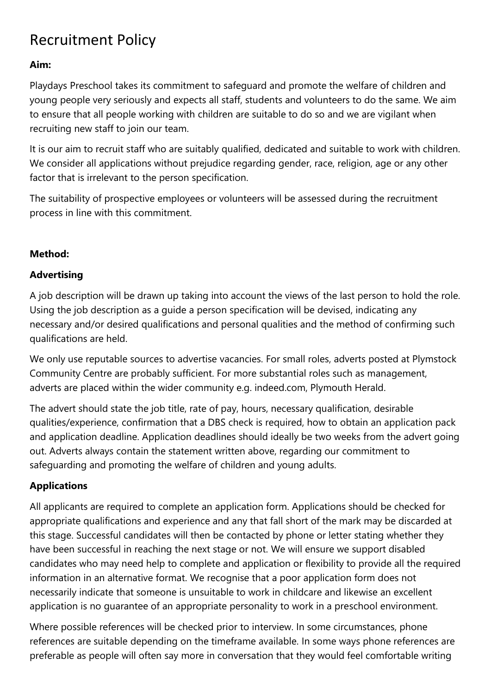# Recruitment Policy

#### **Aim:**

Playdays Preschool takes its commitment to safeguard and promote the welfare of children and young people very seriously and expects all staff, students and volunteers to do the same. We aim to ensure that all people working with children are suitable to do so and we are vigilant when recruiting new staff to join our team.

It is our aim to recruit staff who are suitably qualified, dedicated and suitable to work with children. We consider all applications without prejudice regarding gender, race, religion, age or any other factor that is irrelevant to the person specification.

The suitability of prospective employees or volunteers will be assessed during the recruitment process in line with this commitment.

#### **Method:**

#### **Advertising**

A job description will be drawn up taking into account the views of the last person to hold the role. Using the job description as a guide a person specification will be devised, indicating any necessary and/or desired qualifications and personal qualities and the method of confirming such qualifications are held.

We only use reputable sources to advertise vacancies. For small roles, adverts posted at Plymstock Community Centre are probably sufficient. For more substantial roles such as management, adverts are placed within the wider community e.g. indeed.com, Plymouth Herald.

The advert should state the job title, rate of pay, hours, necessary qualification, desirable qualities/experience, confirmation that a DBS check is required, how to obtain an application pack and application deadline. Application deadlines should ideally be two weeks from the advert going out. Adverts always contain the statement written above, regarding our commitment to safeguarding and promoting the welfare of children and young adults.

# **Applications**

All applicants are required to complete an application form. Applications should be checked for appropriate qualifications and experience and any that fall short of the mark may be discarded at this stage. Successful candidates will then be contacted by phone or letter stating whether they have been successful in reaching the next stage or not. We will ensure we support disabled candidates who may need help to complete and application or flexibility to provide all the required information in an alternative format. We recognise that a poor application form does not necessarily indicate that someone is unsuitable to work in childcare and likewise an excellent application is no guarantee of an appropriate personality to work in a preschool environment.

Where possible references will be checked prior to interview. In some circumstances, phone references are suitable depending on the timeframe available. In some ways phone references are preferable as people will often say more in conversation that they would feel comfortable writing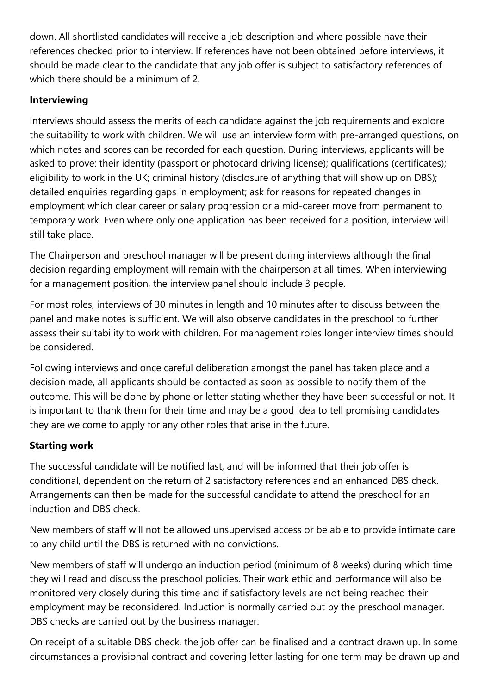down. All shortlisted candidates will receive a job description and where possible have their references checked prior to interview. If references have not been obtained before interviews, it should be made clear to the candidate that any job offer is subject to satisfactory references of which there should be a minimum of 2.

# **Interviewing**

Interviews should assess the merits of each candidate against the job requirements and explore the suitability to work with children. We will use an interview form with pre-arranged questions, on which notes and scores can be recorded for each question. During interviews, applicants will be asked to prove: their identity (passport or photocard driving license); qualifications (certificates); eligibility to work in the UK; criminal history (disclosure of anything that will show up on DBS); detailed enquiries regarding gaps in employment; ask for reasons for repeated changes in employment which clear career or salary progression or a mid-career move from permanent to temporary work. Even where only one application has been received for a position, interview will still take place.

The Chairperson and preschool manager will be present during interviews although the final decision regarding employment will remain with the chairperson at all times. When interviewing for a management position, the interview panel should include 3 people.

For most roles, interviews of 30 minutes in length and 10 minutes after to discuss between the panel and make notes is sufficient. We will also observe candidates in the preschool to further assess their suitability to work with children. For management roles longer interview times should be considered.

Following interviews and once careful deliberation amongst the panel has taken place and a decision made, all applicants should be contacted as soon as possible to notify them of the outcome. This will be done by phone or letter stating whether they have been successful or not. It is important to thank them for their time and may be a good idea to tell promising candidates they are welcome to apply for any other roles that arise in the future.

# **Starting work**

The successful candidate will be notified last, and will be informed that their job offer is conditional, dependent on the return of 2 satisfactory references and an enhanced DBS check. Arrangements can then be made for the successful candidate to attend the preschool for an induction and DBS check.

New members of staff will not be allowed unsupervised access or be able to provide intimate care to any child until the DBS is returned with no convictions.

New members of staff will undergo an induction period (minimum of 8 weeks) during which time they will read and discuss the preschool policies. Their work ethic and performance will also be monitored very closely during this time and if satisfactory levels are not being reached their employment may be reconsidered. Induction is normally carried out by the preschool manager. DBS checks are carried out by the business manager.

On receipt of a suitable DBS check, the job offer can be finalised and a contract drawn up. In some circumstances a provisional contract and covering letter lasting for one term may be drawn up and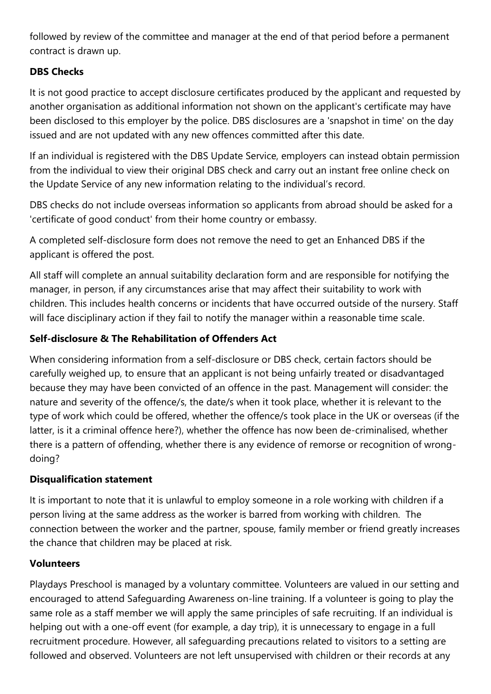followed by review of the committee and manager at the end of that period before a permanent contract is drawn up.

#### **DBS Checks**

It is not good practice to accept disclosure certificates produced by the applicant and requested by another organisation as additional information not shown on the applicant's certificate may have been disclosed to this employer by the police. DBS disclosures are a 'snapshot in time' on the day issued and are not updated with any new offences committed after this date.

If an individual is registered with the DBS Update Service, employers can instead obtain permission from the individual to view their original DBS check and carry out an instant free online check on the Update Service of any new information relating to the individual's record.

DBS checks do not include overseas information so applicants from abroad should be asked for a 'certificate of good conduct' from their home country or embassy.

A completed self-disclosure form does not remove the need to get an Enhanced DBS if the applicant is offered the post.

All staff will complete an annual suitability declaration form and are responsible for notifying the manager, in person, if any circumstances arise that may affect their suitability to work with children. This includes health concerns or incidents that have occurred outside of the nursery. Staff will face disciplinary action if they fail to notify the manager within a reasonable time scale.

# **Self-disclosure & The Rehabilitation of Offenders Act**

When considering information from a self-disclosure or DBS check, certain factors should be carefully weighed up, to ensure that an applicant is not being unfairly treated or disadvantaged because they may have been convicted of an offence in the past. Management will consider: the nature and severity of the offence/s, the date/s when it took place, whether it is relevant to the type of work which could be offered, whether the offence/s took place in the UK or overseas (if the latter, is it a criminal offence here?), whether the offence has now been de-criminalised, whether there is a pattern of offending, whether there is any evidence of remorse or recognition of wrongdoing?

#### **Disqualification statement**

It is important to note that it is unlawful to employ someone in a role working with children if a person living at the same address as the worker is barred from working with children. The connection between the worker and the partner, spouse, family member or friend greatly increases the chance that children may be placed at risk.

#### **Volunteers**

Playdays Preschool is managed by a voluntary committee. Volunteers are valued in our setting and encouraged to attend Safeguarding Awareness on-line training. If a volunteer is going to play the same role as a staff member we will apply the same principles of safe recruiting. If an individual is helping out with a one-off event (for example, a day trip), it is unnecessary to engage in a full recruitment procedure. However, all safeguarding precautions related to visitors to a setting are followed and observed. Volunteers are not left unsupervised with children or their records at any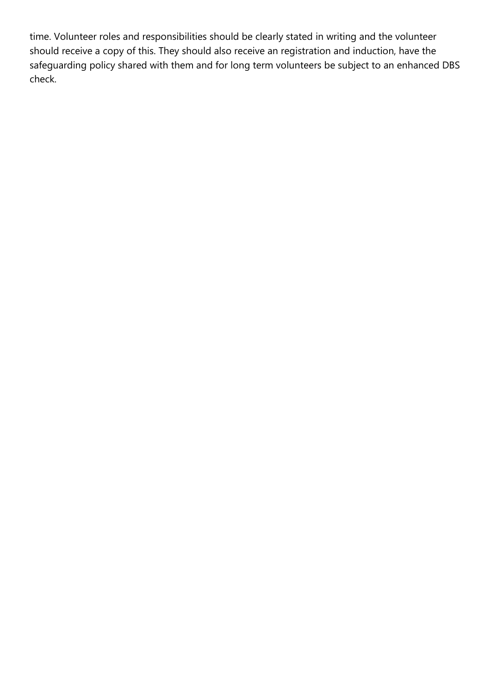time. Volunteer roles and responsibilities should be clearly stated in writing and the volunteer should receive a copy of this. They should also receive an registration and induction, have the safeguarding policy shared with them and for long term volunteers be subject to an enhanced DBS check.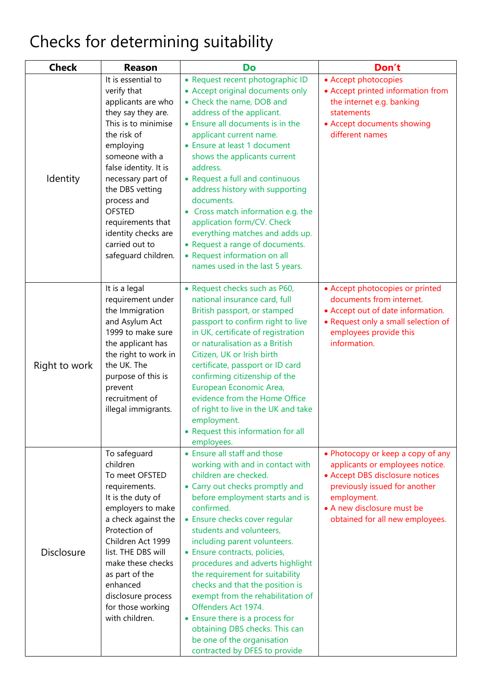# Checks for determining suitability

| <b>Check</b>      | <b>Reason</b>                                                                                                                                                                                                                                                                                                                            | Do                                                                                                                                                                                                                                                                                                                                                                                                                                                                                                                                                                                                                    | Don't                                                                                                                                                                                                                    |
|-------------------|------------------------------------------------------------------------------------------------------------------------------------------------------------------------------------------------------------------------------------------------------------------------------------------------------------------------------------------|-----------------------------------------------------------------------------------------------------------------------------------------------------------------------------------------------------------------------------------------------------------------------------------------------------------------------------------------------------------------------------------------------------------------------------------------------------------------------------------------------------------------------------------------------------------------------------------------------------------------------|--------------------------------------------------------------------------------------------------------------------------------------------------------------------------------------------------------------------------|
| Identity          | It is essential to<br>verify that<br>applicants are who<br>they say they are.<br>This is to minimise<br>the risk of<br>employing<br>someone with a<br>false identity. It is<br>necessary part of<br>the DBS vetting<br>process and<br><b>OFSTED</b><br>requirements that<br>identity checks are<br>carried out to<br>safeguard children. | · Request recent photographic ID<br>• Accept original documents only<br>• Check the name, DOB and<br>address of the applicant.<br>• Ensure all documents is in the<br>applicant current name.<br>• Ensure at least 1 document<br>shows the applicants current<br>address.<br>• Request a full and continuous<br>address history with supporting<br>documents.<br>• Cross match information e.g. the<br>application form/CV. Check<br>everything matches and adds up.<br>• Request a range of documents.<br>• Request information on all<br>names used in the last 5 years.                                            | • Accept photocopies<br>• Accept printed information from<br>the internet e.g. banking<br>statements<br>• Accept documents showing<br>different names                                                                    |
| Right to work     | It is a legal<br>requirement under<br>the Immigration<br>and Asylum Act<br>1999 to make sure<br>the applicant has<br>the right to work in<br>the UK. The<br>purpose of this is<br>prevent<br>recruitment of<br>illegal immigrants.                                                                                                       | • Request checks such as P60,<br>national insurance card, full<br>British passport, or stamped<br>passport to confirm right to live<br>in UK, certificate of registration<br>or naturalisation as a British<br>Citizen, UK or Irish birth<br>certificate, passport or ID card<br>confirming citizenship of the<br>European Economic Area,<br>evidence from the Home Office<br>of right to live in the UK and take<br>employment.<br>• Request this information for all<br>employees.                                                                                                                                  | • Accept photocopies or printed<br>documents from internet.<br>• Accept out of date information.<br>• Request only a small selection of<br>employees provide this<br>information.                                        |
| <b>Disclosure</b> | To safeguard<br>children<br>To meet OFSTED<br>requirements.<br>It is the duty of<br>employers to make<br>a check against the<br>Protection of<br>Children Act 1999<br>list. THE DBS will<br>make these checks<br>as part of the<br>enhanced<br>disclosure process<br>for those working<br>with children.                                 | • Ensure all staff and those<br>working with and in contact with<br>children are checked.<br>• Carry out checks promptly and<br>before employment starts and is<br>confirmed.<br>• Ensure checks cover regular<br>students and volunteers,<br>including parent volunteers.<br>• Ensure contracts, policies,<br>procedures and adverts highlight<br>the requirement for suitability<br>checks and that the position is<br>exempt from the rehabilitation of<br>Offenders Act 1974.<br>• Ensure there is a process for<br>obtaining DBS checks. This can<br>be one of the organisation<br>contracted by DFES to provide | • Photocopy or keep a copy of any<br>applicants or employees notice.<br>• Accept DBS disclosure notices<br>previously issued for another<br>employment.<br>• A new disclosure must be<br>obtained for all new employees. |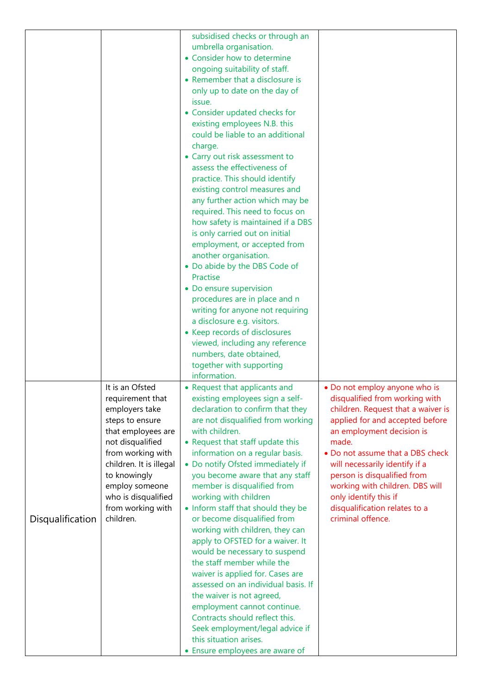|                  |                                                                                                                                                                                                                                                               | subsidised checks or through an<br>umbrella organisation.<br>• Consider how to determine<br>ongoing suitability of staff.<br>• Remember that a disclosure is<br>only up to date on the day of<br>issue.<br>• Consider updated checks for<br>existing employees N.B. this<br>could be liable to an additional<br>charge.<br>• Carry out risk assessment to<br>assess the effectiveness of<br>practice. This should identify<br>existing control measures and<br>any further action which may be<br>required. This need to focus on<br>how safety is maintained if a DBS<br>is only carried out on initial<br>employment, or accepted from<br>another organisation.<br>• Do abide by the DBS Code of<br>Practise<br>• Do ensure supervision<br>procedures are in place and n<br>writing for anyone not requiring<br>a disclosure e.g. visitors.<br>• Keep records of disclosures<br>viewed, including any reference<br>numbers, date obtained,<br>together with supporting |                                                                                                                                                                                                                                                                                                                                                                                                       |
|------------------|---------------------------------------------------------------------------------------------------------------------------------------------------------------------------------------------------------------------------------------------------------------|--------------------------------------------------------------------------------------------------------------------------------------------------------------------------------------------------------------------------------------------------------------------------------------------------------------------------------------------------------------------------------------------------------------------------------------------------------------------------------------------------------------------------------------------------------------------------------------------------------------------------------------------------------------------------------------------------------------------------------------------------------------------------------------------------------------------------------------------------------------------------------------------------------------------------------------------------------------------------|-------------------------------------------------------------------------------------------------------------------------------------------------------------------------------------------------------------------------------------------------------------------------------------------------------------------------------------------------------------------------------------------------------|
| Disqualification | It is an Ofsted<br>requirement that<br>employers take<br>steps to ensure<br>that employees are<br>not disqualified<br>from working with<br>children. It is illegal<br>to knowingly<br>employ someone<br>who is disqualified<br>from working with<br>children. | information.<br>• Request that applicants and<br>existing employees sign a self-<br>declaration to confirm that they<br>are not disqualified from working<br>with children.<br>• Request that staff update this<br>information on a regular basis.<br>• Do notify Ofsted immediately if<br>you become aware that any staff<br>member is disqualified from<br>working with children<br>• Inform staff that should they be<br>or become disqualified from<br>working with children, they can<br>apply to OFSTED for a waiver. It<br>would be necessary to suspend<br>the staff member while the<br>waiver is applied for. Cases are<br>assessed on an individual basis. If<br>the waiver is not agreed,<br>employment cannot continue.<br>Contracts should reflect this.<br>Seek employment/legal advice if<br>this situation arises.<br>• Ensure employees are aware of                                                                                                   | • Do not employ anyone who is<br>disqualified from working with<br>children. Request that a waiver is<br>applied for and accepted before<br>an employment decision is<br>made.<br>• Do not assume that a DBS check<br>will necessarily identify if a<br>person is disqualified from<br>working with children. DBS will<br>only identify this if<br>disqualification relates to a<br>criminal offence. |